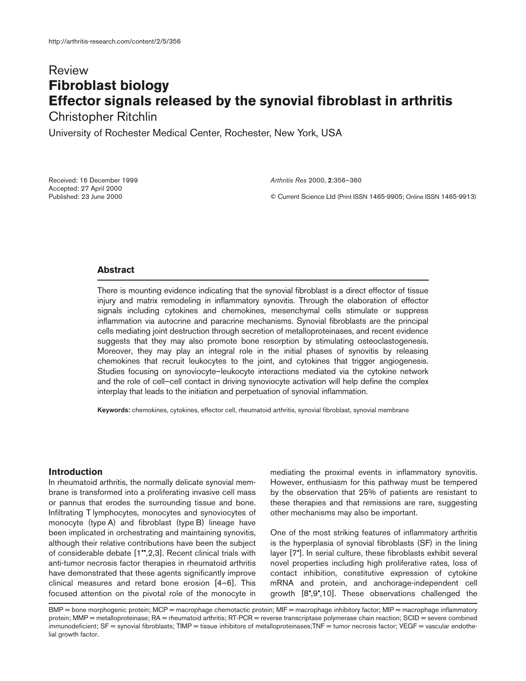# Review **Fibroblast biology Effector signals released by the synovial fibroblast in arthritis** Christopher Ritchlin

University of Rochester Medical Center, Rochester, New York, USA

Received: 16 December 1999 Accepted: 27 April 2000 Published: 23 June 2000

*Arthritis Res* 2000, **2**:356–360

© Current Science Ltd (Print ISSN 1465-9905; Online ISSN 1465-9913)

## **Abstract**

There is mounting evidence indicating that the synovial fibroblast is a direct effector of tissue injury and matrix remodeling in inflammatory synovitis. Through the elaboration of effector signals including cytokines and chemokines, mesenchymal cells stimulate or suppress inflammation via autocrine and paracrine mechanisms. Synovial fibroblasts are the principal cells mediating joint destruction through secretion of metalloproteinases, and recent evidence suggests that they may also promote bone resorption by stimulating osteoclastogenesis. Moreover, they may play an integral role in the initial phases of synovitis by releasing chemokines that recruit leukocytes to the joint, and cytokines that trigger angiogenesis. Studies focusing on synoviocyte–leukocyte interactions mediated via the cytokine network and the role of cell–cell contact in driving synoviocyte activation will help define the complex interplay that leads to the initiation and perpetuation of synovial inflammation.

**Keywords:** chemokines, cytokines, effector cell, rheumatoid arthritis, synovial fibroblast, synovial membrane

## **Introduction**

In rheumatoid arthritis, the normally delicate synovial membrane is transformed into a proliferating invasive cell mass or pannus that erodes the surrounding tissue and bone. Infiltrating T lymphocytes, monocytes and synoviocytes of monocyte (type A) and fibroblast (type B) lineage have been implicated in orchestrating and maintaining synovitis, although their relative contributions have been the subject of considerable debate [1••,2,3]. Recent clinical trials with anti-tumor necrosis factor therapies in rheumatoid arthritis have demonstrated that these agents significantly improve clinical measures and retard bone erosion [4–6]. This focused attention on the pivotal role of the monocyte in

mediating the proximal events in inflammatory synovitis. However, enthusiasm for this pathway must be tempered by the observation that 25% of patients are resistant to these therapies and that remissions are rare, suggesting other mechanisms may also be important.

One of the most striking features of inflammatory arthritis is the hyperplasia of synovial fibroblasts (SF) in the lining layer [7•]. In serial culture, these fibroblasts exhibit several novel properties including high proliferative rates, loss of contact inhibition, constitutive expression of cytokine mRNA and protein, and anchorage-independent cell growth [8•,9•,10]. These observations challenged the

BMP = bone morphogenic protein; MCP = macrophage chemotactic protein; MIF = macrophage inhibitory factor; MIP = macrophage inflammatory protein; MMP = metalloproteinase; RA = rheumatoid arthritis; RT-PCR = reverse transcriptase polymerase chain reaction; SCID = severe combined immunodeficient; SF = synovial fibroblasts; TIMP = tissue inhibitors of metalloproteinases;TNF = tumor necrosis factor; VEGF = vascular endothelial growth factor.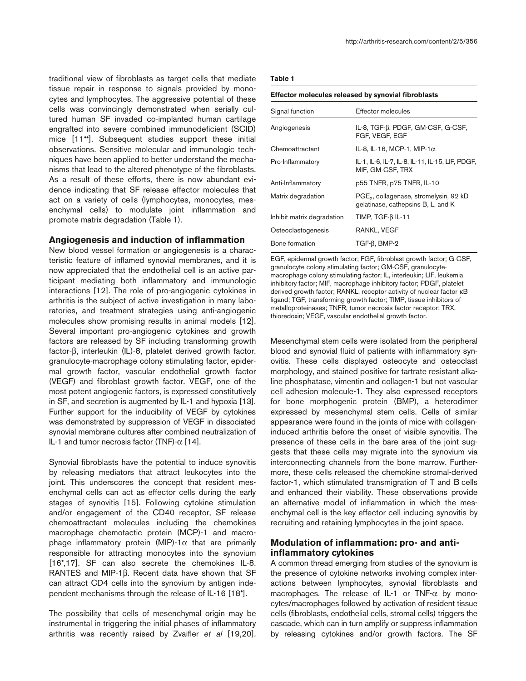traditional view of fibroblasts as target cells that mediate tissue repair in response to signals provided by monocytes and lymphocytes. The aggressive potential of these cells was convincingly demonstrated when serially cultured human SF invaded co-implanted human cartilage engrafted into severe combined immunodeficient (SCID) mice [11••]. Subsequent studies support these initial observations. Sensitive molecular and immunologic techniques have been applied to better understand the mechanisms that lead to the altered phenotype of the fibroblasts. As a result of these efforts, there is now abundant evidence indicating that SF release effector molecules that act on a variety of cells (lymphocytes, monocytes, mesenchymal cells) to modulate joint inflammation and promote matrix degradation (Table 1).

## **Angiogenesis and induction of inflammation**

New blood vessel formation or angiogenesis is a characteristic feature of inflamed synovial membranes, and it is now appreciated that the endothelial cell is an active participant mediating both inflammatory and immunologic interactions [12]. The role of pro-angiogenic cytokines in arthritis is the subject of active investigation in many laboratories, and treatment strategies using anti-angiogenic molecules show promising results in animal models [12]. Several important pro-angiogenic cytokines and growth factors are released by SF including transforming growth factor-β, interleukin (IL)-8, platelet derived growth factor, granulocyte-macrophage colony stimulating factor, epidermal growth factor, vascular endothelial growth factor (VEGF) and fibroblast growth factor. VEGF, one of the most potent angiogenic factors, is expressed constitutively in SF, and secretion is augmented by IL-1 and hypoxia [13]. Further support for the inducibility of VEGF by cytokines was demonstrated by suppression of VEGF in dissociated synovial membrane cultures after combined neutralization of IL-1 and tumor necrosis factor (TNF)- $\alpha$  [14].

Synovial fibroblasts have the potential to induce synovitis by releasing mediators that attract leukocytes into the joint. This underscores the concept that resident mesenchymal cells can act as effector cells during the early stages of synovitis [15]. Following cytokine stimulation and/or engagement of the CD40 receptor, SF release chemoattractant molecules including the chemokines macrophage chemotactic protein (MCP)-1 and macrophage inflammatory protein (MIP)-1 $\alpha$  that are primarily responsible for attracting monocytes into the synovium [16°,17]. SF can also secrete the chemokines IL-8, RANTES and MIP-1β. Recent data have shown that SF can attract CD4 cells into the synovium by antigen independent mechanisms through the release of IL-16 [18•].

The possibility that cells of mesenchymal origin may be instrumental in triggering the initial phases of inflammatory arthritis was recently raised by Zvaifler *et al* [19,20].

### **Table 1**

| Effector molecules                                                                       |  |
|------------------------------------------------------------------------------------------|--|
| IL-8, TGF-B, PDGF, GM-CSF, G-CSF,<br>FGF, VEGF, EGF                                      |  |
| IL-8, IL-16, MCP-1, MIP-1 $\alpha$                                                       |  |
| IL-1, IL-6, IL-7, IL-8, IL-11, IL-15, LIF, PDGF,<br>MIF. GM-CSF. TRX                     |  |
| p55 TNFR, p75 TNFR, IL-10                                                                |  |
| PGE <sub>2</sub> , collagenase, stromelysin, 92 kD<br>gelatinase, cathepsins B, L, and K |  |
| TIMP, $TGF-\betaIL-11$                                                                   |  |
| RANKL, VEGF                                                                              |  |
| $TGF-B$ , BMP-2                                                                          |  |
|                                                                                          |  |

**Effector molecules released by synovial fibroblasts**

EGF, epidermal growth factor; FGF, fibroblast growth factor; G-CSF, granulocyte colony stimulating factor; GM-CSF, granulocytemacrophage colony stimulating factor; IL, interleukin; LIF, leukemia inhibitory factor; MIF, macrophage inhibitory factor; PDGF, platelet derived growth factor; RANKL, receptor activity of nuclear factor κB ligand; TGF, transforming growth factor; TIMP, tissue inhibitors of metalloproteinases; TNFR, tumor necrosis factor receptor; TRX, thioredoxin; VEGF, vascular endothelial growth factor.

Mesenchymal stem cells were isolated from the peripheral blood and synovial fluid of patients with inflammatory synovitis. These cells displayed osteocyte and osteoclast morphology, and stained positive for tartrate resistant alkaline phosphatase, vimentin and collagen-1 but not vascular cell adhesion molecule-1. They also expressed receptors for bone morphogenic protein (BMP), a heterodimer expressed by mesenchymal stem cells. Cells of similar appearance were found in the joints of mice with collageninduced arthritis before the onset of visible synovitis. The presence of these cells in the bare area of the joint suggests that these cells may migrate into the synovium via interconnecting channels from the bone marrow. Furthermore, these cells released the chemokine stromal-derived factor-1, which stimulated transmigration of T and B cells and enhanced their viability. These observations provide an alternative model of inflammation in which the mesenchymal cell is the key effector cell inducing synovitis by recruiting and retaining lymphocytes in the joint space.

## **Modulation of inflammation: pro- and antiinflammatory cytokines**

A common thread emerging from studies of the synovium is the presence of cytokine networks involving complex interactions between lymphocytes, synovial fibroblasts and macrophages. The release of IL-1 or TNF-α by monocytes/macrophages followed by activation of resident tissue cells (fibroblasts, endothelial cells, stromal cells) triggers the cascade, which can in turn amplify or suppress inflammation by releasing cytokines and/or growth factors. The SF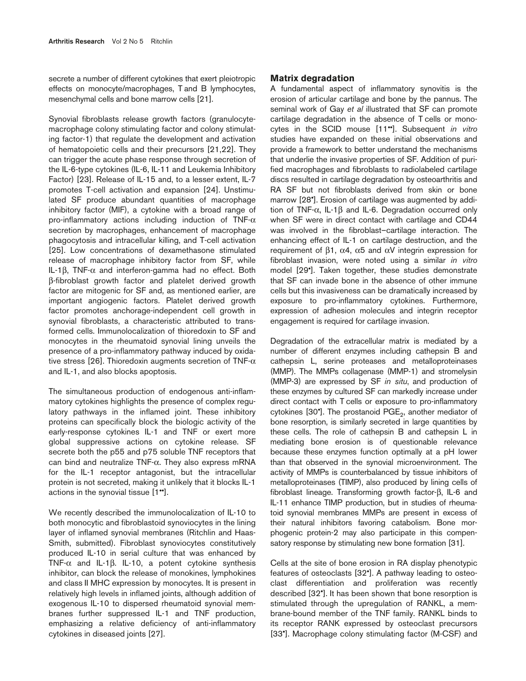secrete a number of different cytokines that exert pleiotropic effects on monocyte/macrophages, T and B lymphocytes, mesenchymal cells and bone marrow cells [21].

Synovial fibroblasts release growth factors (granulocytemacrophage colony stimulating factor and colony stimulating factor-1) that regulate the development and activation of hematopoietic cells and their precursors [21,22]. They can trigger the acute phase response through secretion of the IL-6-type cytokines (IL-6, IL-11 and Leukemia Inhibitory Factor) [23]. Release of IL-15 and, to a lesser extent, IL-7 promotes T-cell activation and expansion [24]. Unstimulated SF produce abundant quantities of macrophage inhibitory factor (MIF), a cytokine with a broad range of pro-inflammatory actions including induction of  $TNF-\alpha$ secretion by macrophages, enhancement of macrophage phagocytosis and intracellular killing, and T-cell activation [25]. Low concentrations of dexamethasone stimulated release of macrophage inhibitory factor from SF, while IL-1β, TNF-α and interferon-gamma had no effect. Both β-fibroblast growth factor and platelet derived growth factor are mitogenic for SF and, as mentioned earlier, are important angiogenic factors. Platelet derived growth factor promotes anchorage-independent cell growth in synovial fibroblasts, a characteristic attributed to transformed cells. Immunolocalization of thioredoxin to SF and monocytes in the rheumatoid synovial lining unveils the presence of a pro-inflammatory pathway induced by oxidative stress [26]. Thioredoxin augments secretion of TNF- $\alpha$ and IL-1, and also blocks apoptosis.

The simultaneous production of endogenous anti-inflammatory cytokines highlights the presence of complex regulatory pathways in the inflamed joint. These inhibitory proteins can specifically block the biologic activity of the early-response cytokines IL-1 and TNF or exert more global suppressive actions on cytokine release. SF secrete both the p55 and p75 soluble TNF receptors that can bind and neutralize TNF-α. They also express mRNA for the IL-1 receptor antagonist, but the intracellular protein is not secreted, making it unlikely that it blocks IL-1 actions in the synovial tissue [1••].

We recently described the immunolocalization of IL-10 to both monocytic and fibroblastoid synoviocytes in the lining layer of inflamed synovial membranes (Ritchlin and Haas-Smith, submitted). Fibroblast synoviocytes constitutively produced IL-10 in serial culture that was enhanced by TNF- $\alpha$  and IL-1 $\beta$ . IL-10, a potent cytokine synthesis inhibitor, can block the release of monokines, lymphokines and class II MHC expression by monocytes. It is present in relatively high levels in inflamed joints, although addition of exogenous IL-10 to dispersed rheumatoid synovial membranes further suppressed IL-1 and TNF production, emphasizing a relative deficiency of anti-inflammatory cytokines in diseased joints [27].

## **Matrix degradation**

A fundamental aspect of inflammatory synovitis is the erosion of articular cartilage and bone by the pannus. The seminal work of Gay *et al* illustrated that SF can promote cartilage degradation in the absence of T cells or monocytes in the SCID mouse [11••]. Subsequent *in vitro* studies have expanded on these initial observations and provide a framework to better understand the mechanisms that underlie the invasive properties of SF. Addition of purified macrophages and fibroblasts to radiolabeled cartilage discs resulted in cartilage degradation by osteoarthritis and RA SF but not fibroblasts derived from skin or bone marrow [28•]. Erosion of cartilage was augmented by addition of TNF-α, IL-1β and IL-6. Degradation occurred only when SF were in direct contact with cartilage and CD44 was involved in the fibroblast–cartilage interaction. The enhancing effect of IL-1 on cartilage destruction, and the requirement of  $β1$ ,  $α4$ ,  $α5$  and  $αV$  integrin expression for fibroblast invasion, were noted using a similar *in vitro* model [29•]. Taken together, these studies demonstrate that SF can invade bone in the absence of other immune cells but this invasiveness can be dramatically increased by exposure to pro-inflammatory cytokines. Furthermore, expression of adhesion molecules and integrin receptor engagement is required for cartilage invasion.

Degradation of the extracellular matrix is mediated by a number of different enzymes including cathepsin B and cathepsin L, serine proteases and metalloproteinases (MMP). The MMPs collagenase (MMP-1) and stromelysin (MMP-3) are expressed by SF *in situ*, and production of these enzymes by cultured SF can markedly increase under direct contact with T cells or exposure to pro-inflammatory cytokines [30 $^{\circ}$ ]. The prostanoid PGE<sub>2</sub>, another mediator of bone resorption, is similarly secreted in large quantities by these cells. The role of cathepsin B and cathepsin L in mediating bone erosion is of questionable relevance because these enzymes function optimally at a pH lower than that observed in the synovial microenvironment. The activity of MMPs is counterbalanced by tissue inhibitors of metalloproteinases (TIMP), also produced by lining cells of fibroblast lineage. Transforming growth factor-β, IL-6 and IL-11 enhance TIMP production, but in studies of rheumatoid synovial membranes MMPs are present in excess of their natural inhibitors favoring catabolism. Bone morphogenic protein-2 may also participate in this compensatory response by stimulating new bone formation [31].

Cells at the site of bone erosion in RA display phenotypic features of osteoclasts [32•]. A pathway leading to osteoclast differentiation and proliferation was recently described [32•]. It has been shown that bone resorption is stimulated through the upregulation of RANKL, a membrane-bound member of the TNF family. RANKL binds to its receptor RANK expressed by osteoclast precursors [33•]. Macrophage colony stimulating factor (M-CSF) and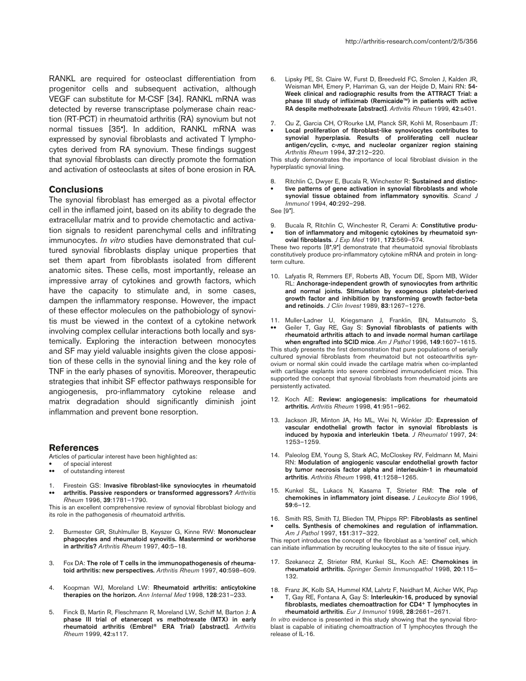RANKL are required for osteoclast differentiation from progenitor cells and subsequent activation, although VEGF can substitute for M-CSF [34]. RANKL mRNA was detected by reverse transcriptase polymerase chain reaction (RT-PCT) in rheumatoid arthritis (RA) synovium but not normal tissues [35•]. In addition, RANKL mRNA was expressed by synovial fibroblasts and activated T lymphocytes derived from RA synovium. These findings suggest that synovial fibroblasts can directly promote the formation and activation of osteoclasts at sites of bone erosion in RA.

## **Conclusions**

The synovial fibroblast has emerged as a pivotal effector cell in the inflamed joint, based on its ability to degrade the extracellular matrix and to provide chemotactic and activation signals to resident parenchymal cells and infiltrating immunocytes. *In vitro* studies have demonstrated that cultured synovial fibroblasts display unique properties that set them apart from fibroblasts isolated from different anatomic sites. These cells, most importantly, release an impressive array of cytokines and growth factors, which have the capacity to stimulate and, in some cases, dampen the inflammatory response. However, the impact of these effector molecules on the pathobiology of synovitis must be viewed in the context of a cytokine network involving complex cellular interactions both locally and systemically. Exploring the interaction between monocytes and SF may yield valuable insights given the close apposition of these cells in the synovial lining and the key role of TNF in the early phases of synovitis. Moreover, therapeutic strategies that inhibit SF effector pathways responsible for angiogenesis, pro-inflammatory cytokine release and matrix degradation should significantly diminish joint inflammation and prevent bone resorption.

#### **References**

Articles of particular interest have been highlighted as:

- of special interest<br>• of outstanding inte
- of outstanding interest
- 1. Firestein GS: **Invasive fibroblast-like synoviocytes in rheumatoid**  •• **arthritis. Passive responders or transformed aggressors?** *Arthritis Rheum* 1996, **39**:1781–1790.

This is an excellent comprehensive review of synovial fibroblast biology and its role in the pathogenesis of rheumatoid arthritis.

- 2. Burmester GR, Stuhlmuller B, Keyszer G, Kinne RW: **Mononuclear phagocytes and rheumatoid synovitis. Mastermind or workhorse in arthritis?** *Arthritis Rheum* 1997, **40**:5–18.
- 3. Fox DA: **The role of T cells in the immunopathogenesis of rheumatoid arthritis: new perspectives.** *Arthritis Rheum* 1997, **40**:598–609.
- 4. Koopman WJ, Moreland LW: **Rheumatoid arthritis: anticytokine therapies on the horizon.** *Ann Internal Med* 1998, **128**:231–233.
- 5. Finck B, Martin R, Fleschmann R, Moreland LW, Schiff M, Barton J: **A phase III trial of etanercept vs methotrexate (MTX) in early rheumatoid arthritis (Embrel® ERA Trial) [abstract].** *Arthritis Rheum* 1999, **42**:s117.
- Lipsky PE, St. Claire W, Furst D, Breedveld FC, Smolen J, Kalden JR, Weisman MH, Emery P, Harriman G, van der Heijde D, Maini RN: **54- Week clinical and radiographic results from the ATTRACT Trial: a phase III study of infliximab (Remicaide™) in patients with active RA despite methotrexate [abstract]**. *Arthritis Rheum* 1999, **42**:s401.
- 7. Qu Z, Garcia CH, O'Rourke LM, Planck SR, Kohli M, Rosenbaum JT: • **Local proliferation of fibroblast-like synoviocytes contributes to synovial hyperplasia. Results of proliferating cell nuclear antigen/cyclin, c-***myc***, and nucleolar organizer region staining**  *Arthritis Rheum* 1994, **37**:212–220.

This study demonstrates the importance of local fibroblast division in the hyperplastic synovial lining.

8. Ritchlin C, Dwyer E, Bucala R, Winchester R: **Sustained and distinc-** • **tive patterns of gene activation in synovial fibroblasts and whole synovial tissue obtained from inflammatory synovitis**. *Scand J Immunol* 1994, **40**:292–298.

See [9•].

9. Bucala R, Ritchlin C, Winchester R, Cerami A: **Constitutive produ-** • **tion of inflammatory and mitogenic cytokines by rheumatoid synovial fibroblasts**. *J Exp Med* 1991, **173**:569–574.

These two reports [8°,9°] demonstrate that rheumatoid synovial fibroblasts constitutively produce pro-inflammatory cytokine mRNA and protein in longterm culture.

- 10. Lafyatis R, Remmers EF, Roberts AB, Yocum DE, Sporn MB, Wilder RL: **Anchorage-independent growth of synoviocytes from arthritic and normal joints. Stimulation by exogenous platelet-derived growth factor and inhibition by transforming growth factor-beta and retinoids**. *J Clin Invest* 1989, **83**:1267–1276.
- 11. Muller-Ladner U, Kriegsmann J, Franklin, BN, Matsumoto S,
- •• Geiler T, Gay RE, Gay S: **Synovial fibroblasts of patients with rheumatoid arthritis attach to and invade normal human cartilage when engrafted into SCID mice**. *Am J Pathol* 1996, **149**:1607–1615.

This study presents the first demonstration that pure populations of serially cultured synovial fibroblasts from rheumatoid but not osteoarthritis synovium or normal skin could invade the cartilage matrix when co-implanted with cartilage explants into severe combined immunodeficient mice. This supported the concept that synovial fibroblasts from rheumatoid joints are persistently activated.

- 12. Koch AE: **Review: angiogenesis: implications for rheumatoid arthritis.** *Arthritis Rheum* 1998, **41**:951–962.
- 13. Jackson JR, Minton JA, Ho ML, Wei N, Winkler JD: **Expression of vascular endothelial growth factor in synovial fibroblasts is induced by hypoxia and interleukin 1beta**. *J Rheumatol* 1997, **24**: 1253–1259.
- 14. Paleolog EM, Young S, Stark AC, McCloskey RV, Feldmann M, Maini RN: **Modulation of angiogenic vascular endothelial growth factor by tumor necrosis factor alpha and interleukin-1 in rheumatoid arthritis**. *Arthritis Rheum* 1998, **41**:1258–1265.
- 15. Kunkel SL, Lukacs N, Kasama T, Strieter RM: **The role of chemokines in inflammatory joint disease.** *J Leukocyte Biol* 1996, **59**:6–12.
- 16. Smith RS, Smith TJ, Blieden TM, Phipps RP: **Fibroblasts as sentinel**  • **cells. Synthesis of chemokines and regulation of inflammation.**  *Am J Pathol* 1997, **151**:317–322.

This report introduces the concept of the fibroblast as a 'sentinel' cell, which can initiate inflammation by recruiting leukocytes to the site of tissue injury.

- 17. Szekanecz Z, Strieter RM, Kunkel SL, Koch AE: **Chemokines in rheumatoid arthritis.** *Springer Semin Immunopathol* 1998, **20**:115– 132.
- 18. Franz JK, Kolb SA, Hummel KM, Lahrtz F, Neidhart M, Aicher WK, Pap • T, Gay RE, Fontana A, Gay S: **Interleukin-16, produced by synovial fibroblasts, mediates chemoattraction for CD4+ T lymphocytes in**

**rheumatoid arthritis**. *Eur J Immunol* 1998, **28**:2661–2671. *In vitro* evidence is presented in this study showing that the synovial fibroblast is capable of initiating chemoattraction of T lymphocytes through the release of IL-16.